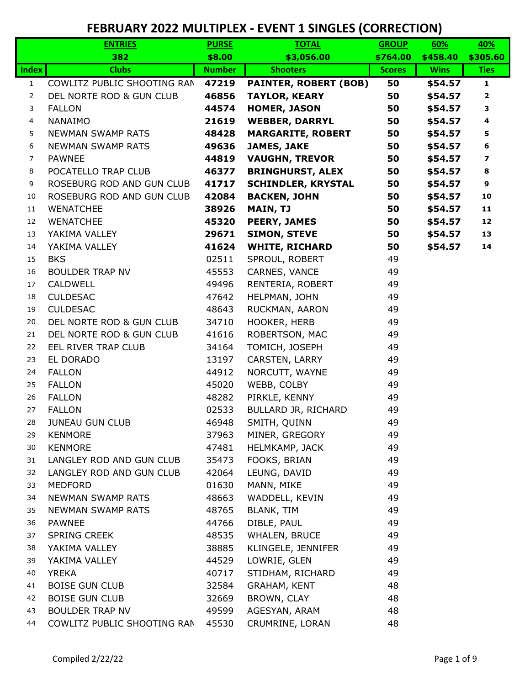|                | <b>ENTRIES</b>              | <b>PURSE</b>  | <b>TOTAL</b>                 | <b>GROUP</b>  | 60%         | 40%                     |
|----------------|-----------------------------|---------------|------------------------------|---------------|-------------|-------------------------|
|                | 382                         | \$8.00        | \$3,056.00                   | \$764.00      | \$458.40    | \$305.60                |
| <b>Index</b>   | <b>Clubs</b>                | <b>Number</b> | <b>Shooters</b>              | <b>Scores</b> | <b>Wins</b> | <b>Ties</b>             |
| $\mathbf{1}$   | COWLITZ PUBLIC SHOOTING RAN | 47219         | <b>PAINTER, ROBERT (BOB)</b> | 50            | \$54.57     | $\mathbf{1}$            |
| $\overline{2}$ | DEL NORTE ROD & GUN CLUB    | 46856         | <b>TAYLOR, KEARY</b>         | 50            | \$54.57     | $\overline{\mathbf{2}}$ |
| 3              | <b>FALLON</b>               | 44574         | <b>HOMER, JASON</b>          | 50            | \$54.57     | 3                       |
| 4              | <b>NANAIMO</b>              | 21619         | <b>WEBBER, DARRYL</b>        | 50            | \$54.57     | 4                       |
| 5              | <b>NEWMAN SWAMP RATS</b>    | 48428         | <b>MARGARITE, ROBERT</b>     | 50            | \$54.57     | 5                       |
| 6              | <b>NEWMAN SWAMP RATS</b>    | 49636         | <b>JAMES, JAKE</b>           | 50            | \$54.57     | 6                       |
| $\overline{7}$ | <b>PAWNEE</b>               | 44819         | <b>VAUGHN, TREVOR</b>        | 50            | \$54.57     | 7                       |
| 8              | POCATELLO TRAP CLUB         | 46377         | <b>BRINGHURST, ALEX</b>      | 50            | \$54.57     | 8                       |
| 9              | ROSEBURG ROD AND GUN CLUB   | 41717         | <b>SCHINDLER, KRYSTAL</b>    | 50            | \$54.57     | 9                       |
| 10             | ROSEBURG ROD AND GUN CLUB   | 42084         | <b>BACKEN, JOHN</b>          | 50            | \$54.57     | 10                      |
| 11             | <b>WENATCHEE</b>            | 38926         | <b>MAIN, TJ</b>              | 50            | \$54.57     | 11                      |
| 12             | <b>WENATCHEE</b>            | 45320         | <b>PEERY, JAMES</b>          | 50            | \$54.57     | 12                      |
| 13             | YAKIMA VALLEY               | 29671         | <b>SIMON, STEVE</b>          | 50            | \$54.57     | 13                      |
| 14             | YAKIMA VALLEY               | 41624         | <b>WHITE, RICHARD</b>        | 50            | \$54.57     | 14                      |
| 15             | <b>BKS</b>                  | 02511         | SPROUL, ROBERT               | 49            |             |                         |
| 16             | <b>BOULDER TRAP NV</b>      | 45553         | CARNES, VANCE                | 49            |             |                         |
| 17             | <b>CALDWELL</b>             | 49496         | RENTERIA, ROBERT             | 49            |             |                         |
| 18             | <b>CULDESAC</b>             | 47642         | HELPMAN, JOHN                | 49            |             |                         |
| 19             | <b>CULDESAC</b>             | 48643         | RUCKMAN, AARON               | 49            |             |                         |
| 20             | DEL NORTE ROD & GUN CLUB    | 34710         | HOOKER, HERB                 | 49            |             |                         |
| 21             | DEL NORTE ROD & GUN CLUB    | 41616         | ROBERTSON, MAC               | 49            |             |                         |
| 22             | EEL RIVER TRAP CLUB         | 34164         | TOMICH, JOSEPH               | 49            |             |                         |
| 23             | EL DORADO                   | 13197         | CARSTEN, LARRY               | 49            |             |                         |
| 24             | <b>FALLON</b>               | 44912         | NORCUTT, WAYNE               | 49            |             |                         |
| 25             | <b>FALLON</b>               | 45020         | WEBB, COLBY                  | 49            |             |                         |
| 26             | <b>FALLON</b>               | 48282         | PIRKLE, KENNY                | 49            |             |                         |
| 27             | <b>FALLON</b>               | 02533         | BULLARD JR, RICHARD          | 49            |             |                         |
| 28             | <b>JUNEAU GUN CLUB</b>      | 46948         | SMITH, QUINN                 | 49            |             |                         |
| 29             | <b>KENMORE</b>              | 37963         | MINER, GREGORY               | 49            |             |                         |
| 30             | <b>KENMORE</b>              | 47481         | HELMKAMP, JACK               | 49            |             |                         |
| 31             | LANGLEY ROD AND GUN CLUB    | 35473         | FOOKS, BRIAN                 | 49            |             |                         |
| 32             | LANGLEY ROD AND GUN CLUB    | 42064         | LEUNG, DAVID                 | 49            |             |                         |
| 33             | <b>MEDFORD</b>              | 01630         | MANN, MIKE                   | 49            |             |                         |
| 34             | <b>NEWMAN SWAMP RATS</b>    | 48663         | WADDELL, KEVIN               | 49            |             |                         |
| 35             | <b>NEWMAN SWAMP RATS</b>    | 48765         | BLANK, TIM                   | 49            |             |                         |
| 36             | <b>PAWNEE</b>               | 44766         | DIBLE, PAUL                  | 49            |             |                         |
| 37             | <b>SPRING CREEK</b>         | 48535         | WHALEN, BRUCE                | 49            |             |                         |
| 38             | YAKIMA VALLEY               | 38885         | KLINGELE, JENNIFER           | 49            |             |                         |
| 39             | YAKIMA VALLEY               | 44529         | LOWRIE, GLEN                 | 49            |             |                         |
| 40             | <b>YREKA</b>                | 40717         | STIDHAM, RICHARD             | 49            |             |                         |
| 41             | <b>BOISE GUN CLUB</b>       | 32584         | <b>GRAHAM, KENT</b>          | 48            |             |                         |
| 42             | <b>BOISE GUN CLUB</b>       | 32669         | BROWN, CLAY                  | 48            |             |                         |
| 43             | <b>BOULDER TRAP NV</b>      | 49599         | AGESYAN, ARAM                | 48            |             |                         |
| 44             | COWLITZ PUBLIC SHOOTING RAN | 45530         | CRUMRINE, LORAN              | 48            |             |                         |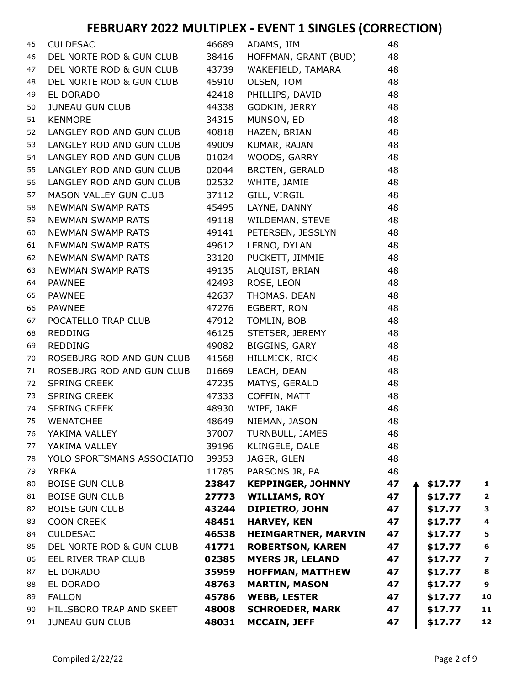| 45 | <b>CULDESAC</b>            |       | 46689 ADAMS, JIM           | 48 |         |                         |
|----|----------------------------|-------|----------------------------|----|---------|-------------------------|
| 46 | DEL NORTE ROD & GUN CLUB   | 38416 | HOFFMAN, GRANT (BUD)       | 48 |         |                         |
| 47 | DEL NORTE ROD & GUN CLUB   | 43739 | WAKEFIELD, TAMARA          | 48 |         |                         |
| 48 | DEL NORTE ROD & GUN CLUB   | 45910 | OLSEN, TOM                 | 48 |         |                         |
| 49 | EL DORADO                  | 42418 | PHILLIPS, DAVID            | 48 |         |                         |
| 50 | JUNEAU GUN CLUB            | 44338 | <b>GODKIN, JERRY</b>       | 48 |         |                         |
| 51 | <b>KENMORE</b>             | 34315 | MUNSON, ED                 | 48 |         |                         |
| 52 | LANGLEY ROD AND GUN CLUB   | 40818 | HAZEN, BRIAN               | 48 |         |                         |
| 53 | LANGLEY ROD AND GUN CLUB   | 49009 | KUMAR, RAJAN               | 48 |         |                         |
| 54 | LANGLEY ROD AND GUN CLUB   | 01024 | WOODS, GARRY               | 48 |         |                         |
| 55 | LANGLEY ROD AND GUN CLUB   | 02044 | BROTEN, GERALD             | 48 |         |                         |
| 56 | LANGLEY ROD AND GUN CLUB   | 02532 | WHITE, JAMIE               | 48 |         |                         |
| 57 | MASON VALLEY GUN CLUB      | 37112 | GILL, VIRGIL               | 48 |         |                         |
| 58 | NEWMAN SWAMP RATS          | 45495 | LAYNE, DANNY               | 48 |         |                         |
| 59 | NEWMAN SWAMP RATS          | 49118 | WILDEMAN, STEVE            | 48 |         |                         |
| 60 | NEWMAN SWAMP RATS          | 49141 | PETERSEN, JESSLYN          | 48 |         |                         |
| 61 | NEWMAN SWAMP RATS          | 49612 | LERNO, DYLAN               | 48 |         |                         |
| 62 | NEWMAN SWAMP RATS          | 33120 | PUCKETT, JIMMIE            | 48 |         |                         |
| 63 | NEWMAN SWAMP RATS          | 49135 | ALQUIST, BRIAN             | 48 |         |                         |
| 64 | PAWNEE                     | 42493 | ROSE, LEON                 | 48 |         |                         |
| 65 | PAWNEE                     | 42637 | THOMAS, DEAN               | 48 |         |                         |
| 66 | <b>PAWNEE</b>              | 47276 | EGBERT, RON                | 48 |         |                         |
| 67 | POCATELLO TRAP CLUB        | 47912 | TOMLIN, BOB                | 48 |         |                         |
| 68 | <b>REDDING</b>             | 46125 | STETSER, JEREMY            | 48 |         |                         |
| 69 | <b>REDDING</b>             | 49082 | BIGGINS, GARY              | 48 |         |                         |
| 70 | ROSEBURG ROD AND GUN CLUB  | 41568 | HILLMICK, RICK             | 48 |         |                         |
| 71 | ROSEBURG ROD AND GUN CLUB  | 01669 | LEACH, DEAN                | 48 |         |                         |
| 72 | SPRING CREEK               | 47235 | MATYS, GERALD              | 48 |         |                         |
| 73 | SPRING CREEK               | 47333 | COFFIN, MATT               | 48 |         |                         |
| 74 | SPRING CREEK               | 48930 | WIPF, JAKE                 | 48 |         |                         |
| 75 | <b>WENATCHEE</b>           | 48649 | NIEMAN, JASON              | 48 |         |                         |
| 76 | YAKIMA VALLEY              | 37007 | TURNBULL, JAMES            | 48 |         |                         |
| 77 | YAKIMA VALLEY              | 39196 | KLINGELE, DALE             | 48 |         |                         |
| 78 | YOLO SPORTSMANS ASSOCIATIO | 39353 | JAGER, GLEN                | 48 |         |                         |
| 79 | <b>YREKA</b>               | 11785 | PARSONS JR, PA             | 48 |         |                         |
| 80 | <b>BOISE GUN CLUB</b>      | 23847 | <b>KEPPINGER, JOHNNY</b>   | 47 | \$17.77 | 1                       |
| 81 | <b>BOISE GUN CLUB</b>      | 27773 | <b>WILLIAMS, ROY</b>       | 47 | \$17.77 | $\mathbf{2}$            |
| 82 | <b>BOISE GUN CLUB</b>      | 43244 | <b>DIPIETRO, JOHN</b>      | 47 | \$17.77 | 3                       |
| 83 | <b>COON CREEK</b>          | 48451 | <b>HARVEY, KEN</b>         | 47 | \$17.77 | 4                       |
| 84 | <b>CULDESAC</b>            | 46538 | <b>HEIMGARTNER, MARVIN</b> | 47 | \$17.77 | $\overline{\mathbf{5}}$ |
| 85 | DEL NORTE ROD & GUN CLUB   | 41771 | <b>ROBERTSON, KAREN</b>    | 47 | \$17.77 | 6                       |
| 86 | EEL RIVER TRAP CLUB        | 02385 | <b>MYERS JR, LELAND</b>    | 47 | \$17.77 | $\overline{\mathbf{z}}$ |
| 87 | EL DORADO                  | 35959 | <b>HOFFMAN, MATTHEW</b>    | 47 | \$17.77 | 8                       |
| 88 | EL DORADO                  | 48763 | <b>MARTIN, MASON</b>       | 47 | \$17.77 | 9                       |
| 89 | <b>FALLON</b>              | 45786 | <b>WEBB, LESTER</b>        | 47 | \$17.77 | 10                      |
| 90 | HILLSBORO TRAP AND SKEET   | 48008 | <b>SCHROEDER, MARK</b>     | 47 | \$17.77 | 11                      |
| 91 | <b>JUNEAU GUN CLUB</b>     | 48031 | <b>MCCAIN, JEFF</b>        | 47 | \$17.77 | 12                      |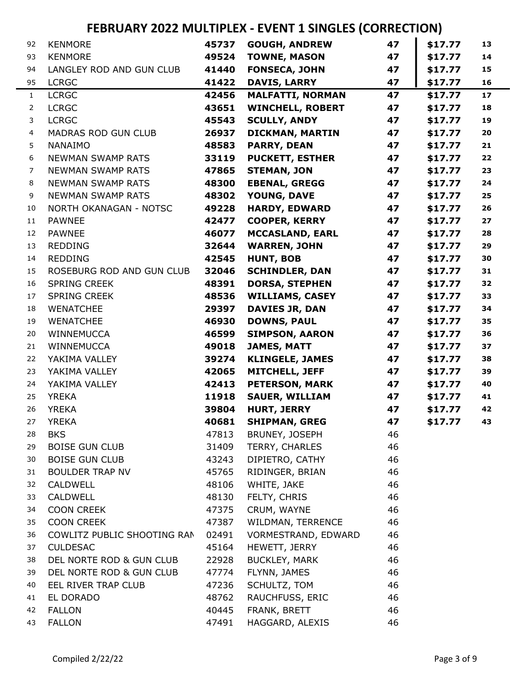| 92             | <b>KENMORE</b>              | 45737 | <b>GOUGH, ANDREW</b>    | 47 | \$17.77 | 13   |
|----------------|-----------------------------|-------|-------------------------|----|---------|------|
| 93             | <b>KENMORE</b>              | 49524 | <b>TOWNE, MASON</b>     | 47 | \$17.77 | 14   |
| 94             | LANGLEY ROD AND GUN CLUB    | 41440 | <b>FONSECA, JOHN</b>    | 47 | \$17.77 | 15   |
| 95             | <b>LCRGC</b>                | 41422 | <b>DAVIS, LARRY</b>     | 47 | \$17.77 | 16   |
| $\mathbf{1}$   | <b>LCRGC</b>                | 42456 | <b>MALFATTI, NORMAN</b> | 47 | \$17.77 | 17   |
| $\overline{2}$ | <b>LCRGC</b>                | 43651 | <b>WINCHELL, ROBERT</b> | 47 | \$17.77 | 18   |
| 3              | <b>LCRGC</b>                | 45543 | <b>SCULLY, ANDY</b>     | 47 | \$17.77 | 19   |
| $\overline{4}$ | <b>MADRAS ROD GUN CLUB</b>  | 26937 | <b>DICKMAN, MARTIN</b>  | 47 | \$17.77 | 20   |
| 5              | <b>NANAIMO</b>              | 48583 | <b>PARRY, DEAN</b>      | 47 | \$17.77 | $21$ |
| 6              | <b>NEWMAN SWAMP RATS</b>    | 33119 | <b>PUCKETT, ESTHER</b>  | 47 | \$17.77 | 22   |
| 7              | <b>NEWMAN SWAMP RATS</b>    | 47865 | <b>STEMAN, JON</b>      | 47 | \$17.77 | 23   |
| 8              | <b>NEWMAN SWAMP RATS</b>    | 48300 | <b>EBENAL, GREGG</b>    | 47 | \$17.77 | 24   |
| 9              | <b>NEWMAN SWAMP RATS</b>    | 48302 | YOUNG, DAVE             | 47 | \$17.77 | 25   |
| 10             | NORTH OKANAGAN - NOTSC      | 49228 | <b>HARDY, EDWARD</b>    | 47 | \$17.77 | 26   |
| 11             | <b>PAWNEE</b>               | 42477 | <b>COOPER, KERRY</b>    | 47 | \$17.77 | 27   |
| 12             | <b>PAWNEE</b>               | 46077 | <b>MCCASLAND, EARL</b>  | 47 | \$17.77 | 28   |
| 13             | <b>REDDING</b>              | 32644 | <b>WARREN, JOHN</b>     | 47 | \$17.77 | 29   |
| 14             | <b>REDDING</b>              | 42545 | <b>HUNT, BOB</b>        | 47 | \$17.77 | 30   |
| 15             | ROSEBURG ROD AND GUN CLUB   | 32046 | <b>SCHINDLER, DAN</b>   | 47 | \$17.77 | 31   |
| 16             | <b>SPRING CREEK</b>         | 48391 | <b>DORSA, STEPHEN</b>   | 47 | \$17.77 | 32   |
| 17             | <b>SPRING CREEK</b>         | 48536 | <b>WILLIAMS, CASEY</b>  | 47 | \$17.77 | 33   |
| 18             | <b>WENATCHEE</b>            | 29397 | <b>DAVIES JR, DAN</b>   | 47 | \$17.77 | 34   |
| 19             | <b>WENATCHEE</b>            | 46930 | <b>DOWNS, PAUL</b>      | 47 | \$17.77 | 35   |
| 20             | WINNEMUCCA                  | 46599 | <b>SIMPSON, AARON</b>   | 47 | \$17.77 | 36   |
| 21             | <b>WINNEMUCCA</b>           | 49018 | <b>JAMES, MATT</b>      | 47 | \$17.77 | 37   |
| 22             | YAKIMA VALLEY               | 39274 | <b>KLINGELE, JAMES</b>  | 47 | \$17.77 | 38   |
| 23             | YAKIMA VALLEY               | 42065 | MITCHELL, JEFF          | 47 | \$17.77 | 39   |
| 24             | YAKIMA VALLEY               | 42413 | <b>PETERSON, MARK</b>   | 47 | \$17.77 | 40   |
| 25             | <b>YREKA</b>                | 11918 | <b>SAUER, WILLIAM</b>   | 47 | \$17.77 | 41   |
| 26             | <b>YREKA</b>                | 39804 | <b>HURT, JERRY</b>      | 47 | \$17.77 | 42   |
| 27             | <b>YREKA</b>                | 40681 | <b>SHIPMAN, GREG</b>    | 47 | \$17.77 | 43   |
| 28             | <b>BKS</b>                  | 47813 | BRUNEY, JOSEPH          | 46 |         |      |
| 29             | <b>BOISE GUN CLUB</b>       | 31409 | TERRY, CHARLES          | 46 |         |      |
| 30             | <b>BOISE GUN CLUB</b>       | 43243 | DIPIETRO, CATHY         | 46 |         |      |
| 31             | <b>BOULDER TRAP NV</b>      | 45765 | RIDINGER, BRIAN         | 46 |         |      |
| 32             | CALDWELL                    | 48106 | WHITE, JAKE             | 46 |         |      |
| 33             | CALDWELL                    | 48130 | FELTY, CHRIS            | 46 |         |      |
| 34             | <b>COON CREEK</b>           | 47375 | CRUM, WAYNE             | 46 |         |      |
| 35             | <b>COON CREEK</b>           | 47387 | WILDMAN, TERRENCE       | 46 |         |      |
| 36             | COWLITZ PUBLIC SHOOTING RAN | 02491 | VORMESTRAND, EDWARD     | 46 |         |      |
| 37             | <b>CULDESAC</b>             | 45164 | HEWETT, JERRY           | 46 |         |      |
| 38             | DEL NORTE ROD & GUN CLUB    | 22928 | <b>BUCKLEY, MARK</b>    | 46 |         |      |
| 39             | DEL NORTE ROD & GUN CLUB    | 47774 | FLYNN, JAMES            | 46 |         |      |
| 40             | EEL RIVER TRAP CLUB         | 47236 | SCHULTZ, TOM            | 46 |         |      |
| 41             | EL DORADO                   | 48762 | RAUCHFUSS, ERIC         | 46 |         |      |
| 42             | <b>FALLON</b>               | 40445 | FRANK, BRETT            | 46 |         |      |
| 43             | <b>FALLON</b>               | 47491 | HAGGARD, ALEXIS         | 46 |         |      |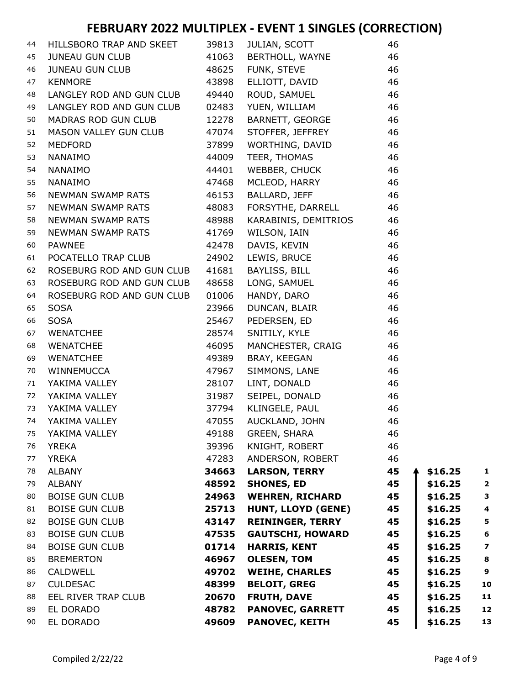| 44 | HILLSBORO TRAP AND SKEET 39813                                                                                                                                                               |       | <b>JULIAN, SCOTT</b>                        | 46 |         |                         |
|----|----------------------------------------------------------------------------------------------------------------------------------------------------------------------------------------------|-------|---------------------------------------------|----|---------|-------------------------|
| 45 | JUNEAU GUN CLUB                                                                                                                                                                              |       | 41063 BERTHOLL, WAYNE<br>48625 FUNK, STEVE  | 46 |         |                         |
| 46 | JUNEAU GUN CLUB <b>ANGLIA EN 1999</b>                                                                                                                                                        |       |                                             | 46 |         |                         |
| 47 | <b>KENMORE</b>                                                                                                                                                                               | 43898 |                                             | 46 |         |                         |
| 48 | LANGLEY ROD AND GUN CLUB                                                                                                                                                                     | 49440 | ELLIOTT, DAVID<br>ROUD, SAMUEL              | 46 |         |                         |
| 49 | LANGLEY ROD AND GUN CLUB                                                                                                                                                                     | 02483 | YUEN, WILLIAM                               | 46 |         |                         |
| 50 | MADRAS ROD GUN CLUB                                                                                                                                                                          |       | 12278 BARNETT, GEORGE                       | 46 |         |                         |
| 51 | MASON VALLEY GUN CLUB 47074                                                                                                                                                                  |       | STOFFER, JEFFREY                            | 46 |         |                         |
| 52 | <b>MEDFORD</b>                                                                                                                                                                               | 37899 | WORTHING, DAVID                             | 46 |         |                         |
| 53 | NANAIMO                                                                                                                                                                                      | 44009 | TEER, THOMAS                                | 46 |         |                         |
| 54 | NANAIMO                                                                                                                                                                                      | 44401 |                                             | 46 |         |                         |
| 55 | NANAIMO                                                                                                                                                                                      | 47468 | WEBBER, CHUCK<br>MCLEOD, HARRY              | 46 |         |                         |
| 56 | NEWMAN SWAMP RATS                                                                                                                                                                            | 46153 | BALLARD, JEFF                               | 46 |         |                         |
| 57 | NEWMAN SWAMP RATS                                                                                                                                                                            | 48083 | FORSYTHE, DARRELL                           | 46 |         |                         |
| 58 | NEWMAN SWAMP RATS                                                                                                                                                                            | 48988 | KARABINIS, DEMITRIOS                        | 46 |         |                         |
| 59 | NEWMAN SWAMP RATS                                                                                                                                                                            | 41769 |                                             | 46 |         |                         |
| 60 | <b>PAWNEE</b>                                                                                                                                                                                | 42478 | WILSUN, IAIN<br>DAVIS, KEVIN<br>LEWIS PRUSE | 46 |         |                         |
| 61 | POCATELLO TRAP CLUB                                                                                                                                                                          | 24902 |                                             | 46 |         |                         |
| 62 | ROSEBURG ROD AND GUN CLUB 41681                                                                                                                                                              |       | LEWIS, BRUCE<br>BAYLISS, BILL               | 46 |         |                         |
| 63 | ROSEBURG ROD AND GUN CLUB 48658                                                                                                                                                              |       | LONG, SAMUEL                                | 46 |         |                         |
| 64 | ROSEBURG ROD AND GUN CLUB                                                                                                                                                                    | 01006 |                                             | 46 |         |                         |
| 65 | NOSELENCE NEED AND LETTER<br>SOSA<br>WENATCHEE<br>WENATCHEE<br>WENATCHEE<br>WINNEMUCCA<br>YAKIMA VALLEY<br>YAKIMA VALLEY<br>YAKIMA VALLEY<br>YAKIMA VALLEY<br>YAKIMA VALLEY<br>YAKIMA VALLEY | 23966 | HANDY, DARO<br>DUNCAN, BLAIR                | 46 |         |                         |
| 66 |                                                                                                                                                                                              | 25467 | PEDERSEN, ED                                | 46 |         |                         |
| 67 |                                                                                                                                                                                              | 28574 | SNITILY, KYLE                               | 46 |         |                         |
| 68 |                                                                                                                                                                                              | 46095 | MANCHESTER, CRAIG                           | 46 |         |                         |
| 69 |                                                                                                                                                                                              | 49389 | BRAY, KEEGAN                                | 46 |         |                         |
| 70 |                                                                                                                                                                                              | 47967 | SIMMONS, LANE                               | 46 |         |                         |
| 71 |                                                                                                                                                                                              | 28107 | LINT, DONALD                                | 46 |         |                         |
| 72 |                                                                                                                                                                                              | 31987 | SEIPEL, DONALD                              | 46 |         |                         |
| 73 |                                                                                                                                                                                              | 37794 | KLINGELE, PAUL                              | 46 |         |                         |
| 74 |                                                                                                                                                                                              | 47055 | AUCKLAND, JOHN                              | 46 |         |                         |
| 75 | YAKIMA VALLEY                                                                                                                                                                                | 49188 | <b>GREEN, SHARA</b>                         | 46 |         |                         |
| 76 | <b>YREKA</b>                                                                                                                                                                                 | 39396 | KNIGHT, ROBERT                              | 46 |         |                         |
| 77 | <b>YREKA</b>                                                                                                                                                                                 | 47283 | ANDERSON, ROBERT                            | 46 |         |                         |
| 78 | <b>ALBANY</b>                                                                                                                                                                                | 34663 | <b>LARSON, TERRY</b>                        | 45 | \$16.25 | 1                       |
| 79 | <b>ALBANY</b>                                                                                                                                                                                | 48592 | <b>SHONES, ED</b>                           | 45 | \$16.25 | $\overline{\mathbf{2}}$ |
| 80 | <b>BOISE GUN CLUB</b>                                                                                                                                                                        | 24963 | <b>WEHREN, RICHARD</b>                      | 45 | \$16.25 | 3                       |
| 81 | <b>BOISE GUN CLUB</b>                                                                                                                                                                        | 25713 | HUNT, LLOYD (GENE)                          | 45 | \$16.25 | $\overline{\mathbf{4}}$ |
| 82 | <b>BOISE GUN CLUB</b>                                                                                                                                                                        | 43147 | <b>REININGER, TERRY</b>                     | 45 | \$16.25 | 5                       |
| 83 | <b>BOISE GUN CLUB</b>                                                                                                                                                                        | 47535 | <b>GAUTSCHI, HOWARD</b>                     | 45 | \$16.25 | 6                       |
| 84 | <b>BOISE GUN CLUB</b>                                                                                                                                                                        | 01714 | <b>HARRIS, KENT</b>                         | 45 | \$16.25 | 7                       |
| 85 | <b>BREMERTON</b>                                                                                                                                                                             | 46967 | <b>OLESEN, TOM</b>                          | 45 | \$16.25 | 8                       |
| 86 | <b>CALDWELL</b>                                                                                                                                                                              | 49702 | <b>WEIHE, CHARLES</b>                       | 45 | \$16.25 | 9                       |
| 87 | <b>CULDESAC</b>                                                                                                                                                                              | 48399 | <b>BELOIT, GREG</b>                         | 45 | \$16.25 | 10                      |
| 88 | EEL RIVER TRAP CLUB                                                                                                                                                                          | 20670 | <b>FRUTH, DAVE</b>                          | 45 | \$16.25 | 11                      |
| 89 | EL DORADO                                                                                                                                                                                    | 48782 | <b>PANOVEC, GARRETT</b>                     | 45 | \$16.25 | 12                      |
| 90 | EL DORADO                                                                                                                                                                                    | 49609 | <b>PANOVEC, KEITH</b>                       | 45 | \$16.25 | 13                      |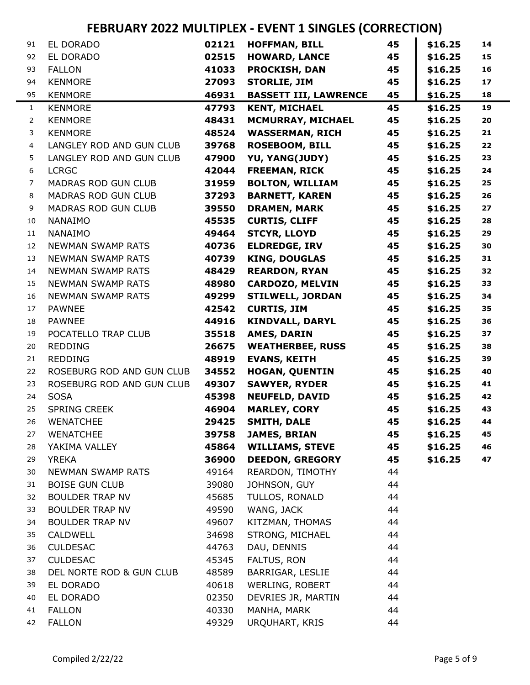| 91             | EL DORADO                             | 02121          | <b>HOFFMAN, BILL</b>            | 45       | \$16.25 | 14 |
|----------------|---------------------------------------|----------------|---------------------------------|----------|---------|----|
| 92             | EL DORADO                             | 02515          | <b>HOWARD, LANCE</b>            | 45       | \$16.25 | 15 |
| 93             | <b>FALLON</b>                         | 41033          | <b>PROCKISH, DAN</b>            | 45       | \$16.25 | 16 |
| 94             | <b>KENMORE</b>                        | 27093          | <b>STORLIE, JIM</b>             | 45       | \$16.25 | 17 |
| 95             | <b>KENMORE</b>                        | 46931          | <b>BASSETT III, LAWRENCE</b>    | 45       | \$16.25 | 18 |
| $\mathbf{1}$   | <b>KENMORE</b>                        | 47793          | <b>KENT, MICHAEL</b>            | 45       | \$16.25 | 19 |
| $\overline{2}$ | <b>KENMORE</b>                        | 48431          | <b>MCMURRAY, MICHAEL</b>        | 45       | \$16.25 | 20 |
| 3              | <b>KENMORE</b>                        | 48524          | <b>WASSERMAN, RICH</b>          | 45       | \$16.25 | 21 |
| 4              | LANGLEY ROD AND GUN CLUB              | 39768          | <b>ROSEBOOM, BILL</b>           | 45       | \$16.25 | 22 |
| 5              | LANGLEY ROD AND GUN CLUB              | 47900          | YU, YANG(JUDY)                  | 45       | \$16.25 | 23 |
| 6              | <b>LCRGC</b>                          | 42044          | <b>FREEMAN, RICK</b>            | 45       | \$16.25 | 24 |
| 7              | <b>MADRAS ROD GUN CLUB</b>            | 31959          | <b>BOLTON, WILLIAM</b>          | 45       | \$16.25 | 25 |
| 8              | MADRAS ROD GUN CLUB                   | 37293          | <b>BARNETT, KAREN</b>           | 45       | \$16.25 | 26 |
| 9              | <b>MADRAS ROD GUN CLUB</b>            | 39550          | <b>DRAMEN, MARK</b>             | 45       | \$16.25 | 27 |
| 10             | <b>NANAIMO</b>                        | 45535          | <b>CURTIS, CLIFF</b>            | 45       | \$16.25 | 28 |
| 11             | <b>NANAIMO</b>                        | 49464          | <b>STCYR, LLOYD</b>             | 45       | \$16.25 | 29 |
| 12             | <b>NEWMAN SWAMP RATS</b>              | 40736          | <b>ELDREDGE, IRV</b>            | 45       | \$16.25 | 30 |
| 13             | <b>NEWMAN SWAMP RATS</b>              | 40739          | <b>KING, DOUGLAS</b>            | 45       | \$16.25 | 31 |
| 14             | <b>NEWMAN SWAMP RATS</b>              | 48429          | <b>REARDON, RYAN</b>            | 45       | \$16.25 | 32 |
| 15             | <b>NEWMAN SWAMP RATS</b>              | 48980          | <b>CARDOZO, MELVIN</b>          | 45       | \$16.25 | 33 |
| 16             | <b>NEWMAN SWAMP RATS</b>              | 49299          | <b>STILWELL, JORDAN</b>         | 45       | \$16.25 | 34 |
| 17             | <b>PAWNEE</b>                         | 42542          | <b>CURTIS, JIM</b>              | 45       | \$16.25 | 35 |
| 18             | <b>PAWNEE</b>                         | 44916          | <b>KINDVALL, DARYL</b>          | 45       | \$16.25 | 36 |
| 19             | POCATELLO TRAP CLUB                   | 35518          | <b>AMES, DARIN</b>              | 45       | \$16.25 | 37 |
| 20             | <b>REDDING</b>                        | 26675          | <b>WEATHERBEE, RUSS</b>         | 45       | \$16.25 | 38 |
| 21             | <b>REDDING</b>                        | 48919          | <b>EVANS, KEITH</b>             | 45       | \$16.25 | 39 |
| 22             | ROSEBURG ROD AND GUN CLUB             | 34552          | <b>HOGAN, QUENTIN</b>           | 45       | \$16.25 | 40 |
| 23             | ROSEBURG ROD AND GUN CLUB             | 49307          | <b>SAWYER, RYDER</b>            | 45       | \$16.25 | 41 |
| 24             | <b>SOSA</b>                           | 45398          | <b>NEUFELD, DAVID</b>           | 45       | \$16.25 | 42 |
| 25             | <b>SPRING CREEK</b>                   | 46904          | <b>MARLEY, CORY</b>             | 45       | \$16.25 | 43 |
| 26             | <b>WENATCHEE</b>                      | 29425          | <b>SMITH, DALE</b>              | 45       | \$16.25 | 44 |
| 27             | <b>WENATCHEE</b>                      | 39758          | <b>JAMES, BRIAN</b>             | 45       | \$16.25 | 45 |
| 28             | YAKIMA VALLEY                         | 45864          | <b>WILLIAMS, STEVE</b>          | 45       | \$16.25 | 46 |
| 29             | <b>YREKA</b>                          | 36900          | <b>DEEDON, GREGORY</b>          | 45       | \$16.25 | 47 |
| 30             | NEWMAN SWAMP RATS                     | 49164          | REARDON, TIMOTHY                | 44       |         |    |
| 31             | <b>BOISE GUN CLUB</b>                 | 39080          | JOHNSON, GUY                    | 44       |         |    |
| 32             | <b>BOULDER TRAP NV</b>                | 45685<br>49590 | TULLOS, RONALD                  | 44       |         |    |
| 33             | <b>BOULDER TRAP NV</b>                |                | WANG, JACK                      | 44       |         |    |
| 34             | <b>BOULDER TRAP NV</b>                | 49607          | KITZMAN, THOMAS                 | 44       |         |    |
| 35             | CALDWELL                              | 34698          | STRONG, MICHAEL                 | 44       |         |    |
| 36             | <b>CULDESAC</b>                       | 44763          | DAU, DENNIS                     | 44       |         |    |
| 37             | <b>CULDESAC</b>                       | 45345          | FALTUS, RON<br>BARRIGAR, LESLIE | 44<br>44 |         |    |
| 38             | DEL NORTE ROD & GUN CLUB<br>EL DORADO | 48589          | WERLING, ROBERT                 | 44       |         |    |
| 39<br>40       | EL DORADO                             | 40618<br>02350 | DEVRIES JR, MARTIN              | 44       |         |    |
| 41             | <b>FALLON</b>                         | 40330          | MANHA, MARK                     | 44       |         |    |
| 42             | <b>FALLON</b>                         | 49329          | URQUHART, KRIS                  | 44       |         |    |
|                |                                       |                |                                 |          |         |    |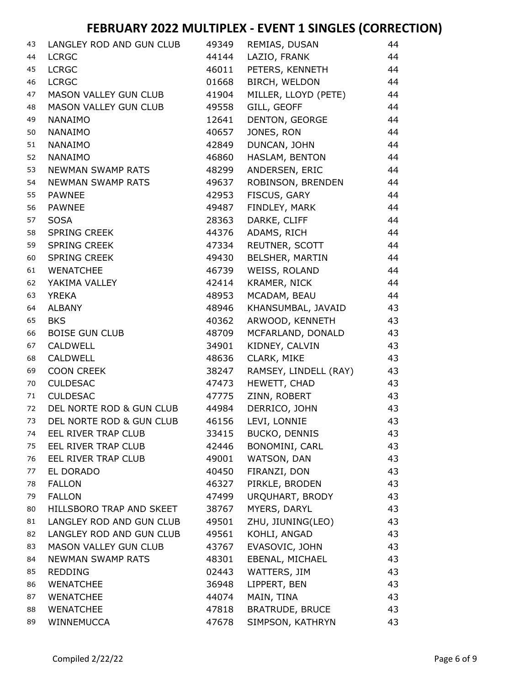| 43 | LANGLEY ROD AND GUN CLUB     | 49349 | REMIAS, DUSAN          | 44 |
|----|------------------------------|-------|------------------------|----|
| 44 | <b>LCRGC</b>                 | 44144 | LAZIO, FRANK           | 44 |
| 45 | <b>LCRGC</b>                 | 46011 | PETERS, KENNETH        | 44 |
| 46 | <b>LCRGC</b>                 | 01668 | BIRCH, WELDON          | 44 |
| 47 | MASON VALLEY GUN CLUB        | 41904 | MILLER, LLOYD (PETE)   | 44 |
| 48 | <b>MASON VALLEY GUN CLUB</b> | 49558 | GILL, GEOFF            | 44 |
| 49 | <b>NANAIMO</b>               | 12641 | DENTON, GEORGE         | 44 |
| 50 | <b>NANAIMO</b>               | 40657 | JONES, RON             | 44 |
| 51 | <b>NANAIMO</b>               | 42849 | DUNCAN, JOHN           | 44 |
| 52 | <b>NANAIMO</b>               | 46860 | HASLAM, BENTON         | 44 |
| 53 | NEWMAN SWAMP RATS            | 48299 | ANDERSEN, ERIC         | 44 |
| 54 | <b>NEWMAN SWAMP RATS</b>     | 49637 | ROBINSON, BRENDEN      | 44 |
| 55 | <b>PAWNEE</b>                | 42953 | FISCUS, GARY           | 44 |
| 56 | <b>PAWNEE</b>                | 49487 | FINDLEY, MARK          | 44 |
| 57 | <b>SOSA</b>                  | 28363 | DARKE, CLIFF           | 44 |
| 58 | <b>SPRING CREEK</b>          | 44376 | ADAMS, RICH            | 44 |
| 59 | <b>SPRING CREEK</b>          | 47334 | REUTNER, SCOTT         | 44 |
| 60 | <b>SPRING CREEK</b>          | 49430 | BELSHER, MARTIN        | 44 |
| 61 | <b>WENATCHEE</b>             | 46739 | WEISS, ROLAND          | 44 |
| 62 | YAKIMA VALLEY                | 42414 | KRAMER, NICK           | 44 |
| 63 | <b>YREKA</b>                 | 48953 | MCADAM, BEAU           | 44 |
| 64 | <b>ALBANY</b>                | 48946 | KHANSUMBAL, JAVAID     | 43 |
| 65 | <b>BKS</b>                   | 40362 | ARWOOD, KENNETH        | 43 |
| 66 | <b>BOISE GUN CLUB</b>        | 48709 | MCFARLAND, DONALD      | 43 |
| 67 | <b>CALDWELL</b>              | 34901 | KIDNEY, CALVIN         | 43 |
| 68 | <b>CALDWELL</b>              | 48636 | CLARK, MIKE            | 43 |
| 69 | <b>COON CREEK</b>            | 38247 | RAMSEY, LINDELL (RAY)  | 43 |
| 70 | <b>CULDESAC</b>              | 47473 | HEWETT, CHAD           | 43 |
| 71 | <b>CULDESAC</b>              | 47775 | ZINN, ROBERT           | 43 |
| 72 | DEL NORTE ROD & GUN CLUB     | 44984 | DERRICO, JOHN          | 43 |
| 73 | DEL NORTE ROD & GUN CLUB     | 46156 | LEVI, LONNIE           | 43 |
| 74 | EEL RIVER TRAP CLUB          | 33415 | <b>BUCKO, DENNIS</b>   | 43 |
| 75 | EEL RIVER TRAP CLUB          | 42446 | BONOMINI, CARL         | 43 |
| 76 | EEL RIVER TRAP CLUB          | 49001 | WATSON, DAN            | 43 |
| 77 | EL DORADO                    | 40450 | FIRANZI, DON           | 43 |
| 78 | <b>FALLON</b>                | 46327 | PIRKLE, BRODEN         | 43 |
| 79 | <b>FALLON</b>                | 47499 | URQUHART, BRODY        | 43 |
| 80 | HILLSBORO TRAP AND SKEET     | 38767 | MYERS, DARYL           | 43 |
| 81 | LANGLEY ROD AND GUN CLUB     | 49501 | ZHU, JIUNING(LEO)      | 43 |
| 82 | LANGLEY ROD AND GUN CLUB     | 49561 | KOHLI, ANGAD           | 43 |
| 83 | MASON VALLEY GUN CLUB        | 43767 | EVASOVIC, JOHN         | 43 |
| 84 | <b>NEWMAN SWAMP RATS</b>     | 48301 | EBENAL, MICHAEL        | 43 |
| 85 | <b>REDDING</b>               | 02443 | WATTERS, JIM           | 43 |
| 86 | <b>WENATCHEE</b>             | 36948 | LIPPERT, BEN           | 43 |
| 87 | <b>WENATCHEE</b>             | 44074 | MAIN, TINA             | 43 |
| 88 | <b>WENATCHEE</b>             | 47818 | <b>BRATRUDE, BRUCE</b> | 43 |
| 89 | WINNEMUCCA                   | 47678 | SIMPSON, KATHRYN       | 43 |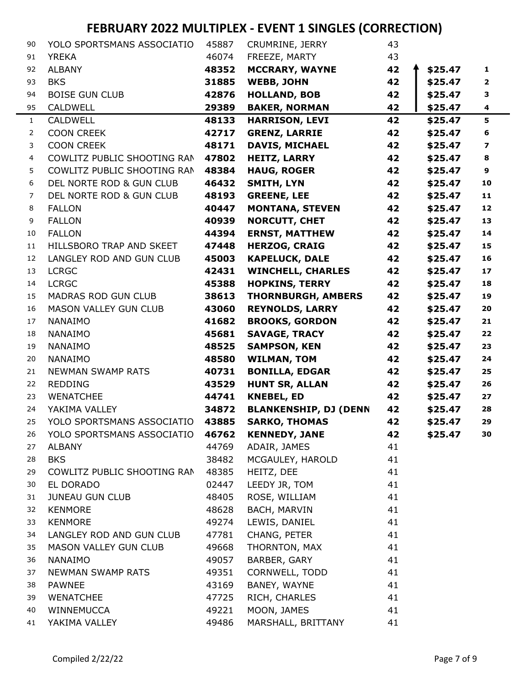| 90             | YOLO SPORTSMANS ASSOCIATIO  | 45887 | CRUMRINE, JERRY              | 43 |         |                          |
|----------------|-----------------------------|-------|------------------------------|----|---------|--------------------------|
| 91             | <b>YREKA</b>                | 46074 | FREEZE, MARTY                | 43 |         |                          |
| 92             | <b>ALBANY</b>               | 48352 | <b>MCCRARY, WAYNE</b>        | 42 | \$25.47 | 1                        |
| 93             | <b>BKS</b>                  | 31885 | <b>WEBB, JOHN</b>            | 42 | \$25.47 | $\overline{2}$           |
| 94             | <b>BOISE GUN CLUB</b>       | 42876 | <b>HOLLAND, BOB</b>          | 42 | \$25.47 | з                        |
| 95             | <b>CALDWELL</b>             | 29389 | <b>BAKER, NORMAN</b>         | 42 | \$25.47 | 4                        |
| $\mathbf{1}$   | <b>CALDWELL</b>             | 48133 | <b>HARRISON, LEVI</b>        | 42 | \$25.47 | 5                        |
| $\overline{2}$ | <b>COON CREEK</b>           | 42717 | <b>GRENZ, LARRIE</b>         | 42 | \$25.47 | 6                        |
| 3              | <b>COON CREEK</b>           | 48171 | <b>DAVIS, MICHAEL</b>        | 42 | \$25.47 | $\overline{\phantom{a}}$ |
| 4              | COWLITZ PUBLIC SHOOTING RAN | 47802 | <b>HEITZ, LARRY</b>          | 42 | \$25.47 | 8                        |
| 5              | COWLITZ PUBLIC SHOOTING RAN | 48384 | <b>HAUG, ROGER</b>           | 42 | \$25.47 | 9                        |
| 6              | DEL NORTE ROD & GUN CLUB    | 46432 | <b>SMITH, LYN</b>            | 42 | \$25.47 | 10                       |
| $\overline{7}$ | DEL NORTE ROD & GUN CLUB    | 48193 | <b>GREENE, LEE</b>           | 42 | \$25.47 | 11                       |
| 8              | <b>FALLON</b>               | 40447 | <b>MONTANA, STEVEN</b>       | 42 | \$25.47 | 12                       |
| 9              | <b>FALLON</b>               | 40939 | <b>NORCUTT, CHET</b>         | 42 | \$25.47 | 13                       |
| 10             | <b>FALLON</b>               | 44394 | <b>ERNST, MATTHEW</b>        | 42 | \$25.47 | 14                       |
| 11             | HILLSBORO TRAP AND SKEET    | 47448 | <b>HERZOG, CRAIG</b>         | 42 | \$25.47 | 15                       |
| 12             | LANGLEY ROD AND GUN CLUB    | 45003 | <b>KAPELUCK, DALE</b>        | 42 | \$25.47 | 16                       |
| 13             | <b>LCRGC</b>                | 42431 | <b>WINCHELL, CHARLES</b>     | 42 | \$25.47 | 17                       |
| 14             | <b>LCRGC</b>                | 45388 | <b>HOPKINS, TERRY</b>        | 42 | \$25.47 | 18                       |
| 15             | MADRAS ROD GUN CLUB         | 38613 | <b>THORNBURGH, AMBERS</b>    | 42 | \$25.47 | 19                       |
| 16             | MASON VALLEY GUN CLUB       | 43060 | <b>REYNOLDS, LARRY</b>       | 42 | \$25.47 | 20                       |
| 17             | <b>NANAIMO</b>              | 41682 | <b>BROOKS, GORDON</b>        | 42 | \$25.47 | 21                       |
| 18             | <b>NANAIMO</b>              | 45681 | <b>SAVAGE, TRACY</b>         | 42 | \$25.47 | 22                       |
| 19             | <b>NANAIMO</b>              | 48525 | <b>SAMPSON, KEN</b>          | 42 | \$25.47 | 23                       |
| 20             | <b>NANAIMO</b>              | 48580 | <b>WILMAN, TOM</b>           | 42 | \$25.47 | 24                       |
| 21             | <b>NEWMAN SWAMP RATS</b>    | 40731 | <b>BONILLA, EDGAR</b>        | 42 | \$25.47 | 25                       |
| 22             | <b>REDDING</b>              | 43529 | <b>HUNT SR, ALLAN</b>        | 42 | \$25.47 | 26                       |
| 23             | <b>WENATCHEE</b>            | 44741 | <b>KNEBEL, ED</b>            | 42 | \$25.47 | 27                       |
| 24             | YAKIMA VALLEY               | 34872 | <b>BLANKENSHIP, DJ (DENN</b> | 42 | \$25.47 | 28                       |
| 25             | YOLO SPORTSMANS ASSOCIATIO  | 43885 | <b>SARKO, THOMAS</b>         | 42 | \$25.47 | 29                       |
| 26             | YOLO SPORTSMANS ASSOCIATIO  | 46762 | <b>KENNEDY, JANE</b>         | 42 | \$25.47 | 30                       |
| 27             | <b>ALBANY</b>               | 44769 | ADAIR, JAMES                 | 41 |         |                          |
| 28             | <b>BKS</b>                  | 38482 | MCGAULEY, HAROLD             | 41 |         |                          |
| 29             | COWLITZ PUBLIC SHOOTING RAN | 48385 | HEITZ, DEE                   | 41 |         |                          |
| 30             | EL DORADO                   | 02447 | LEEDY JR, TOM                | 41 |         |                          |
| 31             | <b>JUNEAU GUN CLUB</b>      | 48405 | ROSE, WILLIAM                | 41 |         |                          |
| 32             | <b>KENMORE</b>              | 48628 | BACH, MARVIN                 | 41 |         |                          |
| 33             | <b>KENMORE</b>              | 49274 | LEWIS, DANIEL                | 41 |         |                          |
| 34             | LANGLEY ROD AND GUN CLUB    | 47781 | CHANG, PETER                 | 41 |         |                          |
| 35             | MASON VALLEY GUN CLUB       | 49668 | THORNTON, MAX                | 41 |         |                          |
| 36             | <b>NANAIMO</b>              | 49057 | BARBER, GARY                 | 41 |         |                          |
| 37             | NEWMAN SWAMP RATS           | 49351 | CORNWELL, TODD               | 41 |         |                          |
| 38             | <b>PAWNEE</b>               | 43169 | BANEY, WAYNE                 | 41 |         |                          |
| 39             | <b>WENATCHEE</b>            | 47725 | RICH, CHARLES                | 41 |         |                          |
| 40             | WINNEMUCCA                  | 49221 | MOON, JAMES                  | 41 |         |                          |
| 41             | YAKIMA VALLEY               | 49486 | MARSHALL, BRITTANY           | 41 |         |                          |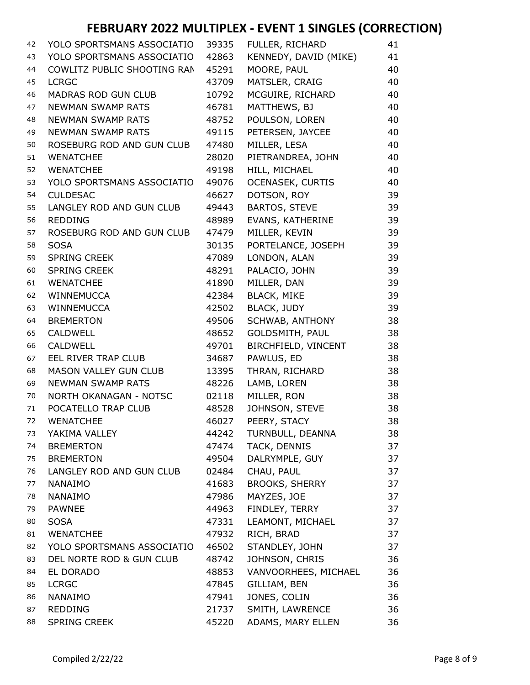| 42 | YOLO SPORTSMANS ASSOCIATIO   | 39335 | FULLER, RICHARD         | 41 |
|----|------------------------------|-------|-------------------------|----|
| 43 | YOLO SPORTSMANS ASSOCIATIO   | 42863 | KENNEDY, DAVID (MIKE)   | 41 |
| 44 | COWLITZ PUBLIC SHOOTING RAN  | 45291 | MOORE, PAUL             | 40 |
| 45 | <b>LCRGC</b>                 | 43709 | MATSLER, CRAIG          | 40 |
| 46 | <b>MADRAS ROD GUN CLUB</b>   | 10792 | MCGUIRE, RICHARD        | 40 |
| 47 | <b>NEWMAN SWAMP RATS</b>     | 46781 | MATTHEWS, BJ            | 40 |
| 48 | <b>NEWMAN SWAMP RATS</b>     | 48752 | POULSON, LOREN          | 40 |
| 49 | <b>NEWMAN SWAMP RATS</b>     | 49115 | PETERSEN, JAYCEE        | 40 |
| 50 | ROSEBURG ROD AND GUN CLUB    | 47480 | MILLER, LESA            | 40 |
| 51 | <b>WENATCHEE</b>             | 28020 | PIETRANDREA, JOHN       | 40 |
| 52 | <b>WENATCHEE</b>             | 49198 | HILL, MICHAEL           | 40 |
| 53 | YOLO SPORTSMANS ASSOCIATIO   | 49076 | <b>OCENASEK, CURTIS</b> | 40 |
| 54 | <b>CULDESAC</b>              | 46627 | DOTSON, ROY             | 39 |
| 55 | LANGLEY ROD AND GUN CLUB     | 49443 | <b>BARTOS, STEVE</b>    | 39 |
| 56 | <b>REDDING</b>               | 48989 | EVANS, KATHERINE        | 39 |
| 57 | ROSEBURG ROD AND GUN CLUB    | 47479 | MILLER, KEVIN           | 39 |
| 58 | <b>SOSA</b>                  | 30135 | PORTELANCE, JOSEPH      | 39 |
| 59 | <b>SPRING CREEK</b>          | 47089 | LONDON, ALAN            | 39 |
| 60 | <b>SPRING CREEK</b>          | 48291 | PALACIO, JOHN           | 39 |
| 61 | <b>WENATCHEE</b>             | 41890 | MILLER, DAN             | 39 |
| 62 | WINNEMUCCA                   | 42384 | <b>BLACK, MIKE</b>      | 39 |
| 63 | <b>WINNEMUCCA</b>            | 42502 | BLACK, JUDY             | 39 |
| 64 | <b>BREMERTON</b>             | 49506 | SCHWAB, ANTHONY         | 38 |
| 65 | <b>CALDWELL</b>              | 48652 | GOLDSMITH, PAUL         | 38 |
| 66 | <b>CALDWELL</b>              | 49701 | BIRCHFIELD, VINCENT     | 38 |
| 67 | EEL RIVER TRAP CLUB          | 34687 | PAWLUS, ED              | 38 |
| 68 | <b>MASON VALLEY GUN CLUB</b> | 13395 | THRAN, RICHARD          | 38 |
| 69 | <b>NEWMAN SWAMP RATS</b>     | 48226 | LAMB, LOREN             | 38 |
| 70 | NORTH OKANAGAN - NOTSC       | 02118 | MILLER, RON             | 38 |
| 71 | POCATELLO TRAP CLUB          | 48528 | JOHNSON, STEVE          | 38 |
| 72 | <b>WENATCHEE</b>             | 46027 | PEERY, STACY            | 38 |
| 73 | YAKIMA VALLEY                | 44242 | TURNBULL, DEANNA        | 38 |
| 74 | <b>BREMERTON</b>             | 47474 | TACK, DENNIS            | 37 |
| 75 | <b>BREMERTON</b>             | 49504 | DALRYMPLE, GUY          | 37 |
| 76 | LANGLEY ROD AND GUN CLUB     | 02484 | CHAU, PAUL              | 37 |
| 77 | <b>NANAIMO</b>               | 41683 | <b>BROOKS, SHERRY</b>   | 37 |
| 78 | <b>NANAIMO</b>               | 47986 | MAYZES, JOE             | 37 |
| 79 | <b>PAWNEE</b>                | 44963 | FINDLEY, TERRY          | 37 |
| 80 | <b>SOSA</b>                  | 47331 | LEAMONT, MICHAEL        | 37 |
| 81 | <b>WENATCHEE</b>             | 47932 | RICH, BRAD              | 37 |
| 82 | YOLO SPORTSMANS ASSOCIATIO   | 46502 | STANDLEY, JOHN          | 37 |
| 83 | DEL NORTE ROD & GUN CLUB     | 48742 | JOHNSON, CHRIS          | 36 |
| 84 | EL DORADO                    | 48853 | VANVOORHEES, MICHAEL    | 36 |
| 85 | <b>LCRGC</b>                 | 47845 | GILLIAM, BEN            | 36 |
| 86 | <b>NANAIMO</b>               | 47941 | JONES, COLIN            | 36 |
| 87 | <b>REDDING</b>               | 21737 | SMITH, LAWRENCE         | 36 |
| 88 | <b>SPRING CREEK</b>          | 45220 | ADAMS, MARY ELLEN       | 36 |